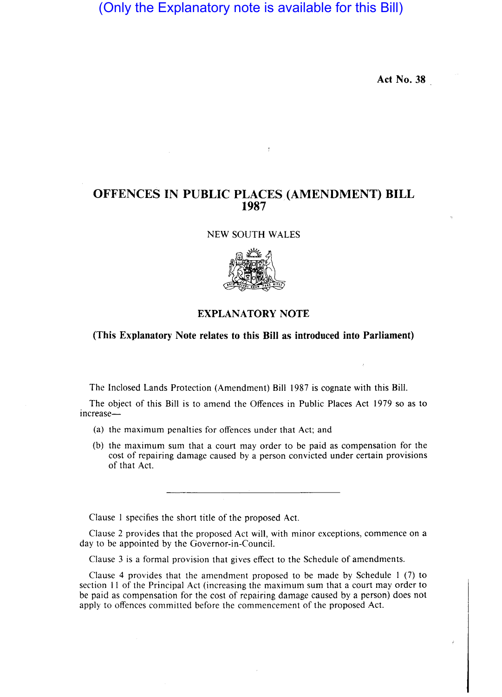(Only the Explanatory note is available for this Bill)

Act No. 38

## OFFENCES IN PUBLIC PLACES (AMENDMENT) BILL 1987

 $\frac{1}{\epsilon}$ 

NEW SOUTH WALES



## EXPLANATORY NOTE

## (This Explanatory Note relates to this Bill as introduced into Parliament)

The Inc10sed Lands Protection (Amendment) Bill 1987 is cognate with this Bill.

The object of this Bill is to amend the Offences in Public Places Act 1979· so as to increase-

- (a) the maximum penalties for offences under that Act; and
- (b) the maximum sum that a court may order to be paid as compensation for the cost of repairing damage caused by a person convicted under certain provisions of that Act.

Clause I specifies the short title of the proposed Act.

Clause 2 provides that the proposed Act will, with minor exceptions, commence on a day to be appointed by the Governor-in-Council.

Clause 3 is a formal provision that gives effect to the Schedule of amendments.

Clause 4 provides that the amendment proposed to be made by Schedule 1 (7) to section 11 of the Principal Act (increasing the maximum sum that a court may order to be paid as compensation for the cost of repairing damage caused by a person) does not apply to offences committed before the commencement of the proposed Act.